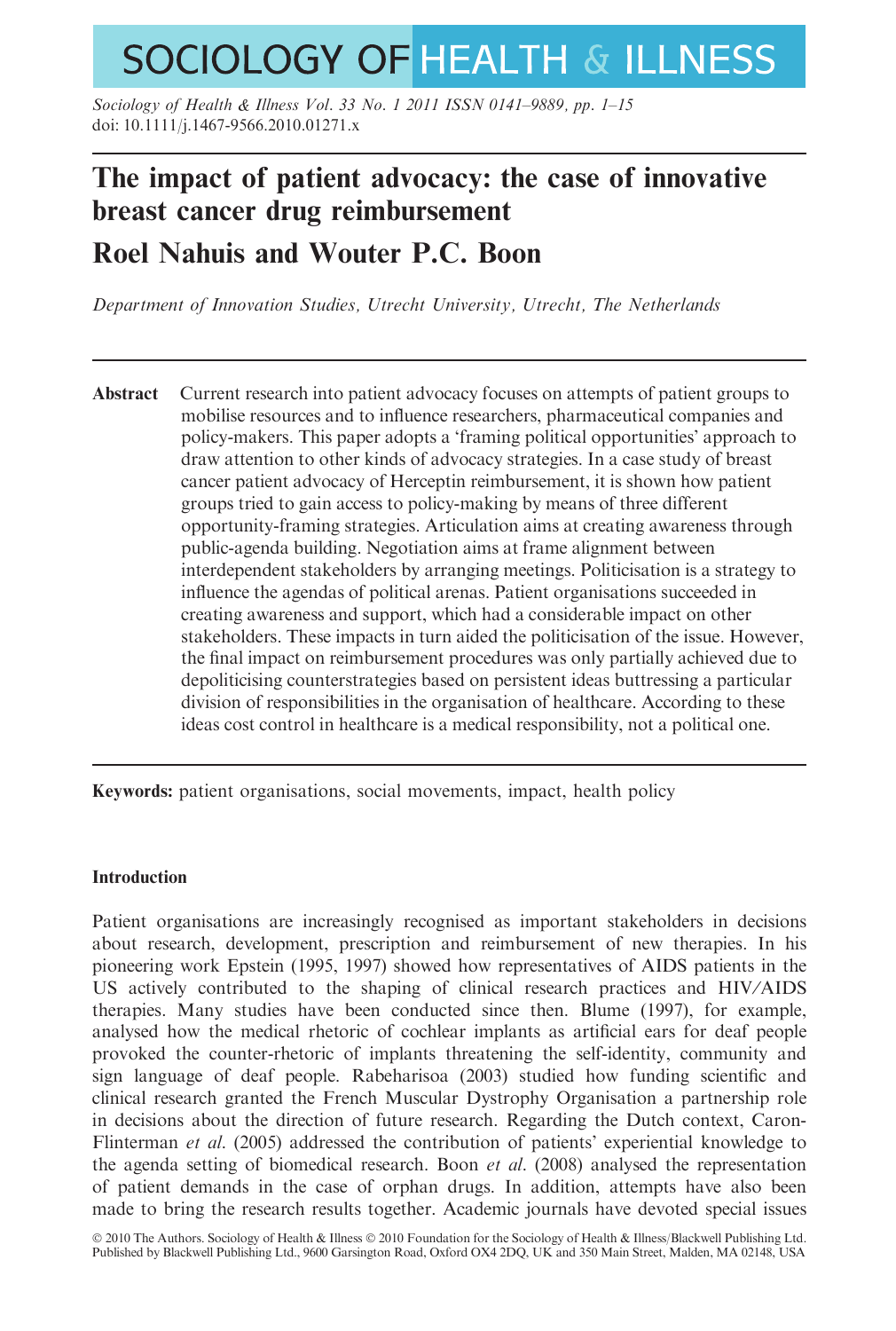# **SOCIOLOGY OF HEALTH & ILLNESS**

Sociology of Health & Illness Vol. 33 No. 1 2011 ISSN 0141–9889, pp. 1–15 doi: 10.1111/j.1467-9566.2010.01271.x

# The impact of patient advocacy: the case of innovative breast cancer drug reimbursement Roel Nahuis and Wouter P.C. Boon

Department of Innovation Studies, Utrecht University, Utrecht, The Netherlands

Abstract Current research into patient advocacy focuses on attempts of patient groups to mobilise resources and to influence researchers, pharmaceutical companies and policy-makers. This paper adopts a 'framing political opportunities' approach to draw attention to other kinds of advocacy strategies. In a case study of breast cancer patient advocacy of Herceptin reimbursement, it is shown how patient groups tried to gain access to policy-making by means of three different opportunity-framing strategies. Articulation aims at creating awareness through public-agenda building. Negotiation aims at frame alignment between interdependent stakeholders by arranging meetings. Politicisation is a strategy to influence the agendas of political arenas. Patient organisations succeeded in creating awareness and support, which had a considerable impact on other stakeholders. These impacts in turn aided the politicisation of the issue. However, the final impact on reimbursement procedures was only partially achieved due to depoliticising counterstrategies based on persistent ideas buttressing a particular division of responsibilities in the organisation of healthcare. According to these ideas cost control in healthcare is a medical responsibility, not a political one.

Keywords: patient organisations, social movements, impact, health policy

# Introduction

Patient organisations are increasingly recognised as important stakeholders in decisions about research, development, prescription and reimbursement of new therapies. In his pioneering work Epstein (1995, 1997) showed how representatives of AIDS patients in the US actively contributed to the shaping of clinical research practices and HIV⁄AIDS therapies. Many studies have been conducted since then. Blume (1997), for example, analysed how the medical rhetoric of cochlear implants as artificial ears for deaf people provoked the counter-rhetoric of implants threatening the self-identity, community and sign language of deaf people. Rabeharisoa (2003) studied how funding scientific and clinical research granted the French Muscular Dystrophy Organisation a partnership role in decisions about the direction of future research. Regarding the Dutch context, Caron-Flinterman et al. (2005) addressed the contribution of patients' experiential knowledge to the agenda setting of biomedical research. Boon et al. (2008) analysed the representation of patient demands in the case of orphan drugs. In addition, attempts have also been made to bring the research results together. Academic journals have devoted special issues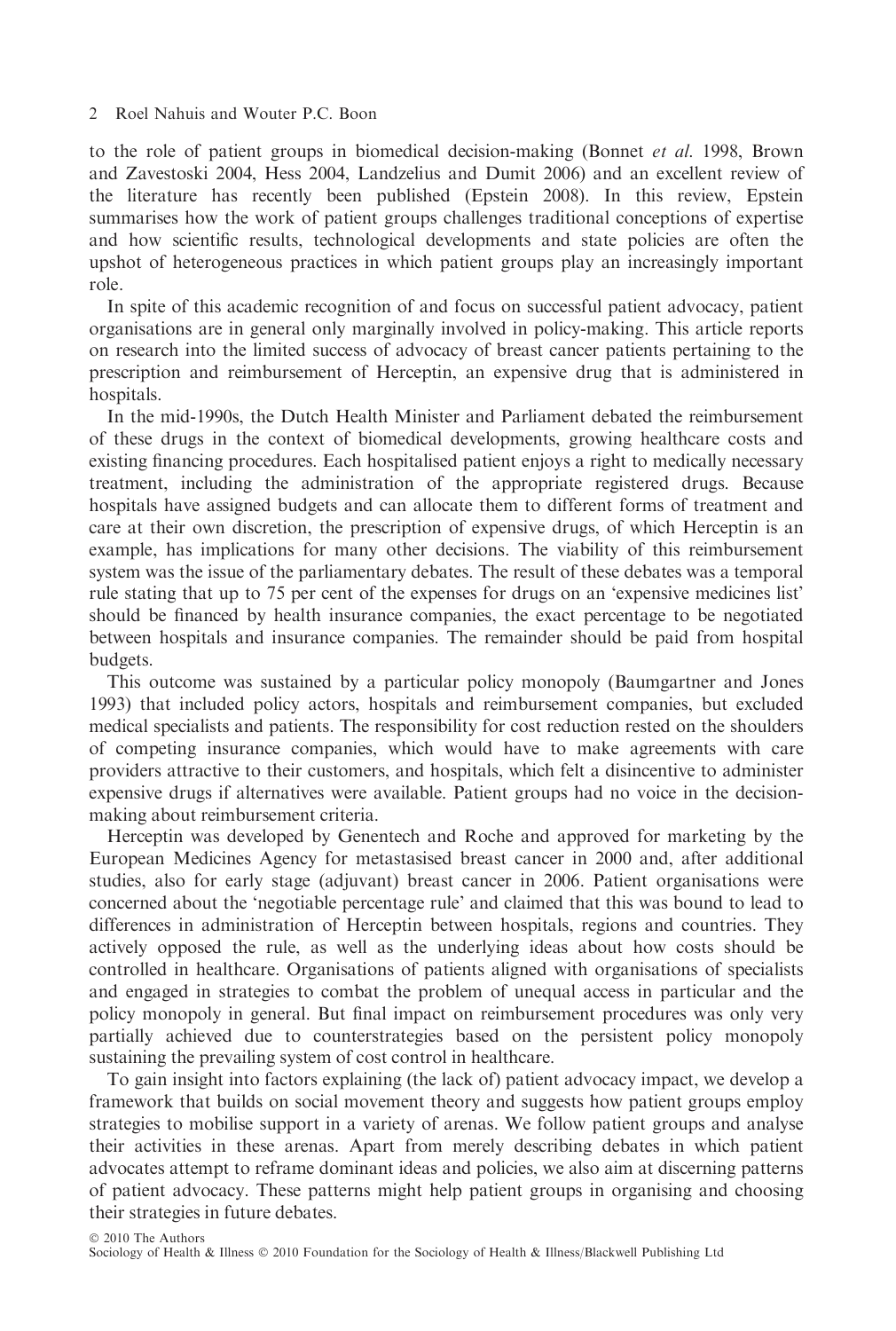to the role of patient groups in biomedical decision-making (Bonnet et al. 1998, Brown and Zavestoski 2004, Hess 2004, Landzelius and Dumit 2006) and an excellent review of the literature has recently been published (Epstein 2008). In this review, Epstein summarises how the work of patient groups challenges traditional conceptions of expertise and how scientific results, technological developments and state policies are often the upshot of heterogeneous practices in which patient groups play an increasingly important role.

In spite of this academic recognition of and focus on successful patient advocacy, patient organisations are in general only marginally involved in policy-making. This article reports on research into the limited success of advocacy of breast cancer patients pertaining to the prescription and reimbursement of Herceptin, an expensive drug that is administered in hospitals.

In the mid-1990s, the Dutch Health Minister and Parliament debated the reimbursement of these drugs in the context of biomedical developments, growing healthcare costs and existing financing procedures. Each hospitalised patient enjoys a right to medically necessary treatment, including the administration of the appropriate registered drugs. Because hospitals have assigned budgets and can allocate them to different forms of treatment and care at their own discretion, the prescription of expensive drugs, of which Herceptin is an example, has implications for many other decisions. The viability of this reimbursement system was the issue of the parliamentary debates. The result of these debates was a temporal rule stating that up to 75 per cent of the expenses for drugs on an 'expensive medicines list' should be financed by health insurance companies, the exact percentage to be negotiated between hospitals and insurance companies. The remainder should be paid from hospital budgets.

This outcome was sustained by a particular policy monopoly (Baumgartner and Jones 1993) that included policy actors, hospitals and reimbursement companies, but excluded medical specialists and patients. The responsibility for cost reduction rested on the shoulders of competing insurance companies, which would have to make agreements with care providers attractive to their customers, and hospitals, which felt a disincentive to administer expensive drugs if alternatives were available. Patient groups had no voice in the decisionmaking about reimbursement criteria.

Herceptin was developed by Genentech and Roche and approved for marketing by the European Medicines Agency for metastasised breast cancer in 2000 and, after additional studies, also for early stage (adjuvant) breast cancer in 2006. Patient organisations were concerned about the 'negotiable percentage rule' and claimed that this was bound to lead to differences in administration of Herceptin between hospitals, regions and countries. They actively opposed the rule, as well as the underlying ideas about how costs should be controlled in healthcare. Organisations of patients aligned with organisations of specialists and engaged in strategies to combat the problem of unequal access in particular and the policy monopoly in general. But final impact on reimbursement procedures was only very partially achieved due to counterstrategies based on the persistent policy monopoly sustaining the prevailing system of cost control in healthcare.

To gain insight into factors explaining (the lack of) patient advocacy impact, we develop a framework that builds on social movement theory and suggests how patient groups employ strategies to mobilise support in a variety of arenas. We follow patient groups and analyse their activities in these arenas. Apart from merely describing debates in which patient advocates attempt to reframe dominant ideas and policies, we also aim at discerning patterns of patient advocacy. These patterns might help patient groups in organising and choosing their strategies in future debates.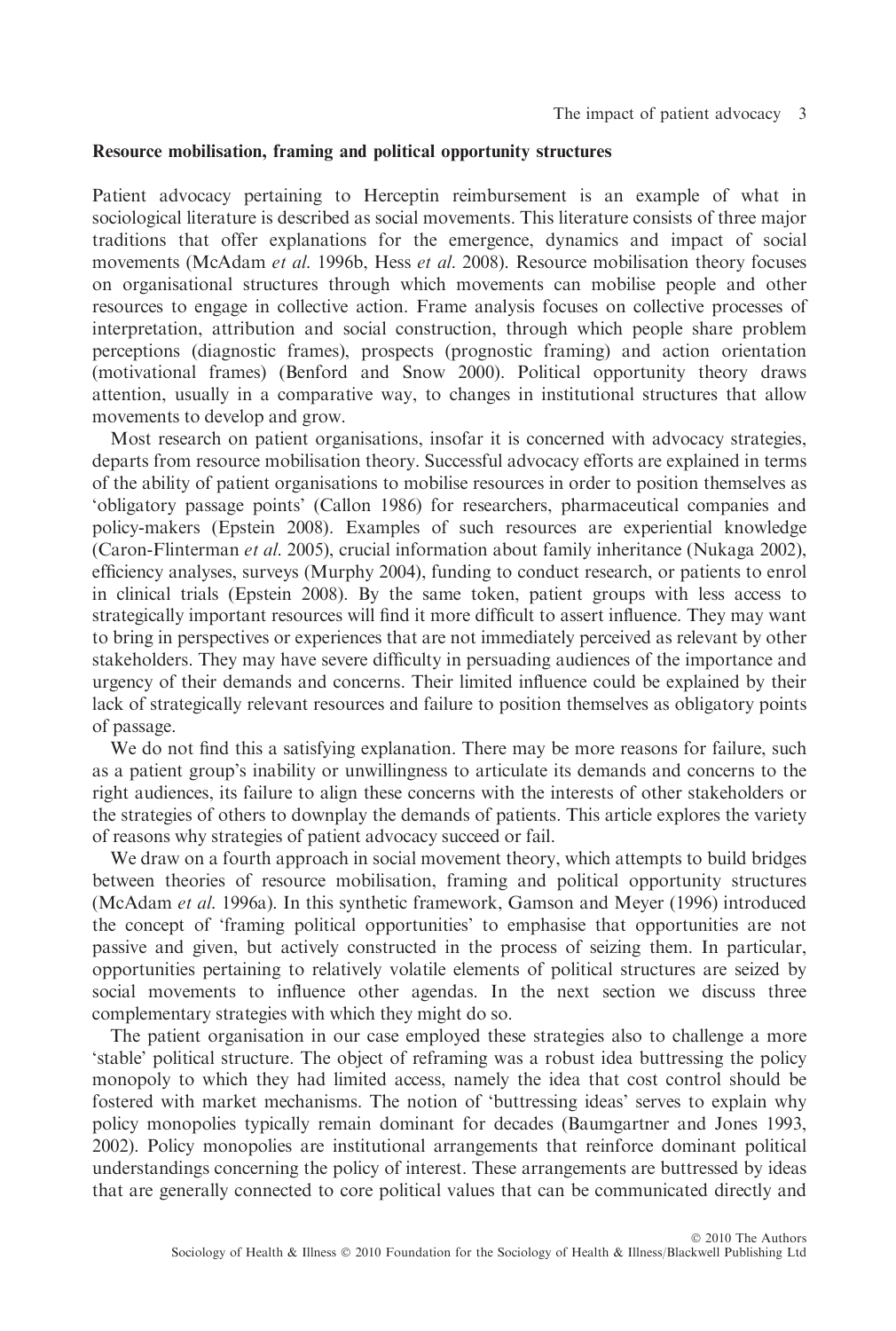# Resource mobilisation, framing and political opportunity structures

Patient advocacy pertaining to Herceptin reimbursement is an example of what in sociological literature is described as social movements. This literature consists of three major traditions that offer explanations for the emergence, dynamics and impact of social movements (McAdam et al. 1996b, Hess et al. 2008). Resource mobilisation theory focuses on organisational structures through which movements can mobilise people and other resources to engage in collective action. Frame analysis focuses on collective processes of interpretation, attribution and social construction, through which people share problem perceptions (diagnostic frames), prospects (prognostic framing) and action orientation (motivational frames) (Benford and Snow 2000). Political opportunity theory draws attention, usually in a comparative way, to changes in institutional structures that allow movements to develop and grow.

Most research on patient organisations, insofar it is concerned with advocacy strategies, departs from resource mobilisation theory. Successful advocacy efforts are explained in terms of the ability of patient organisations to mobilise resources in order to position themselves as 'obligatory passage points' (Callon 1986) for researchers, pharmaceutical companies and policy-makers (Epstein 2008). Examples of such resources are experiential knowledge (Caron-Flinterman et al. 2005), crucial information about family inheritance (Nukaga 2002), efficiency analyses, surveys (Murphy 2004), funding to conduct research, or patients to enrol in clinical trials (Epstein 2008). By the same token, patient groups with less access to strategically important resources will find it more difficult to assert influence. They may want to bring in perspectives or experiences that are not immediately perceived as relevant by other stakeholders. They may have severe difficulty in persuading audiences of the importance and urgency of their demands and concerns. Their limited influence could be explained by their lack of strategically relevant resources and failure to position themselves as obligatory points of passage.

We do not find this a satisfying explanation. There may be more reasons for failure, such as a patient group's inability or unwillingness to articulate its demands and concerns to the right audiences, its failure to align these concerns with the interests of other stakeholders or the strategies of others to downplay the demands of patients. This article explores the variety of reasons why strategies of patient advocacy succeed or fail.

We draw on a fourth approach in social movement theory, which attempts to build bridges between theories of resource mobilisation, framing and political opportunity structures (McAdam et al. 1996a). In this synthetic framework, Gamson and Meyer (1996) introduced the concept of 'framing political opportunities' to emphasise that opportunities are not passive and given, but actively constructed in the process of seizing them. In particular, opportunities pertaining to relatively volatile elements of political structures are seized by social movements to influence other agendas. In the next section we discuss three complementary strategies with which they might do so.

The patient organisation in our case employed these strategies also to challenge a more 'stable' political structure. The object of reframing was a robust idea buttressing the policy monopoly to which they had limited access, namely the idea that cost control should be fostered with market mechanisms. The notion of 'buttressing ideas' serves to explain why policy monopolies typically remain dominant for decades (Baumgartner and Jones 1993, 2002). Policy monopolies are institutional arrangements that reinforce dominant political understandings concerning the policy of interest. These arrangements are buttressed by ideas that are generally connected to core political values that can be communicated directly and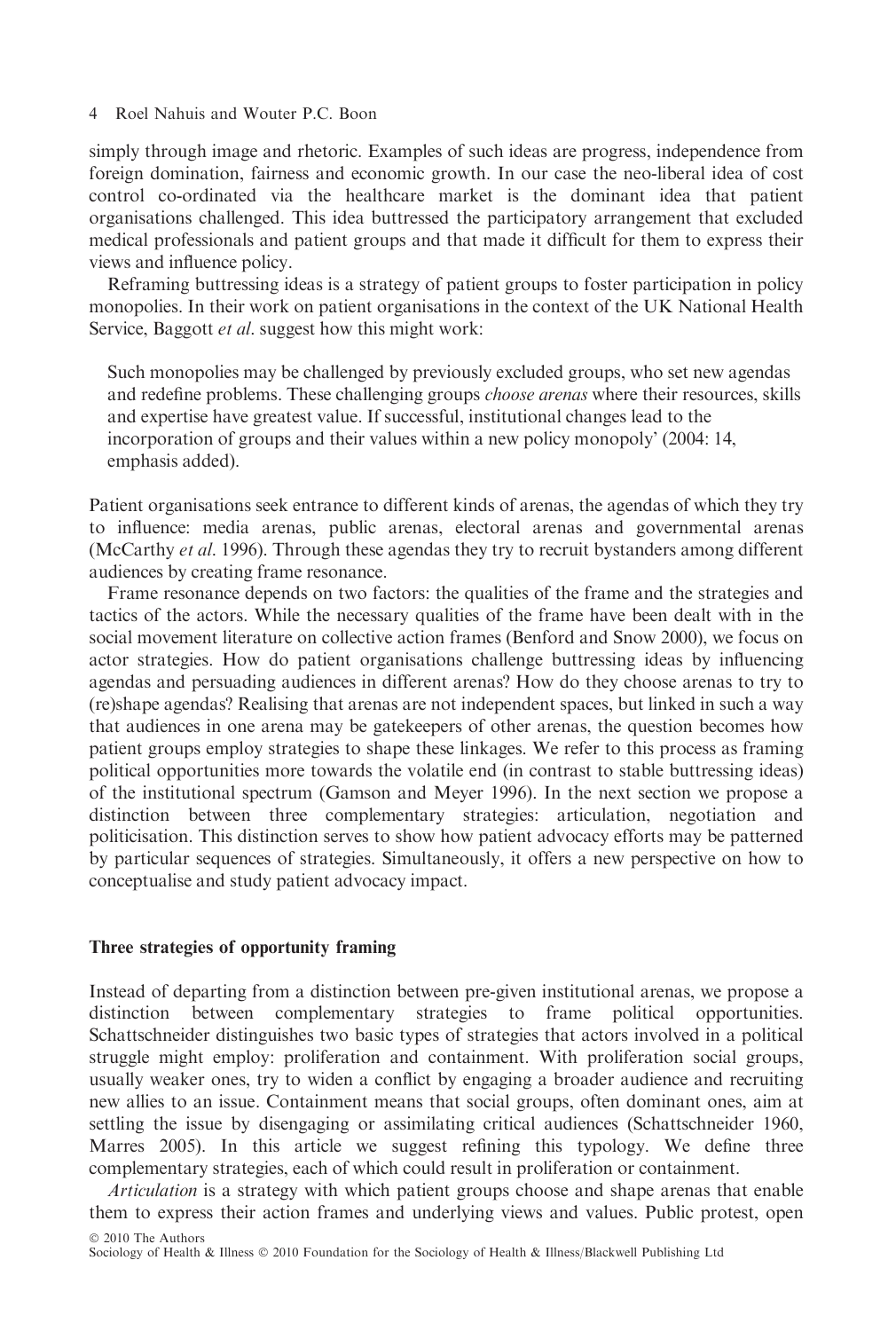simply through image and rhetoric. Examples of such ideas are progress, independence from foreign domination, fairness and economic growth. In our case the neo-liberal idea of cost control co-ordinated via the healthcare market is the dominant idea that patient organisations challenged. This idea buttressed the participatory arrangement that excluded medical professionals and patient groups and that made it difficult for them to express their views and influence policy.

Reframing buttressing ideas is a strategy of patient groups to foster participation in policy monopolies. In their work on patient organisations in the context of the UK National Health Service, Baggott *et al.* suggest how this might work:

Such monopolies may be challenged by previously excluded groups, who set new agendas and redefine problems. These challenging groups *choose arenas* where their resources, skills and expertise have greatest value. If successful, institutional changes lead to the incorporation of groups and their values within a new policy monopoly' (2004: 14, emphasis added).

Patient organisations seek entrance to different kinds of arenas, the agendas of which they try to influence: media arenas, public arenas, electoral arenas and governmental arenas (McCarthy *et al.* 1996). Through these agendas they try to recruit bystanders among different audiences by creating frame resonance.

Frame resonance depends on two factors: the qualities of the frame and the strategies and tactics of the actors. While the necessary qualities of the frame have been dealt with in the social movement literature on collective action frames (Benford and Snow 2000), we focus on actor strategies. How do patient organisations challenge buttressing ideas by influencing agendas and persuading audiences in different arenas? How do they choose arenas to try to (re)shape agendas? Realising that arenas are not independent spaces, but linked in such a way that audiences in one arena may be gatekeepers of other arenas, the question becomes how patient groups employ strategies to shape these linkages. We refer to this process as framing political opportunities more towards the volatile end (in contrast to stable buttressing ideas) of the institutional spectrum (Gamson and Meyer 1996). In the next section we propose a distinction between three complementary strategies: articulation, negotiation and politicisation. This distinction serves to show how patient advocacy efforts may be patterned by particular sequences of strategies. Simultaneously, it offers a new perspective on how to conceptualise and study patient advocacy impact.

# Three strategies of opportunity framing

Instead of departing from a distinction between pre-given institutional arenas, we propose a distinction between complementary strategies to frame political opportunities. Schattschneider distinguishes two basic types of strategies that actors involved in a political struggle might employ: proliferation and containment. With proliferation social groups, usually weaker ones, try to widen a conflict by engaging a broader audience and recruiting new allies to an issue. Containment means that social groups, often dominant ones, aim at settling the issue by disengaging or assimilating critical audiences (Schattschneider 1960, Marres 2005). In this article we suggest refining this typology. We define three complementary strategies, each of which could result in proliferation or containment.

Articulation is a strategy with which patient groups choose and shape arenas that enable them to express their action frames and underlying views and values. Public protest, open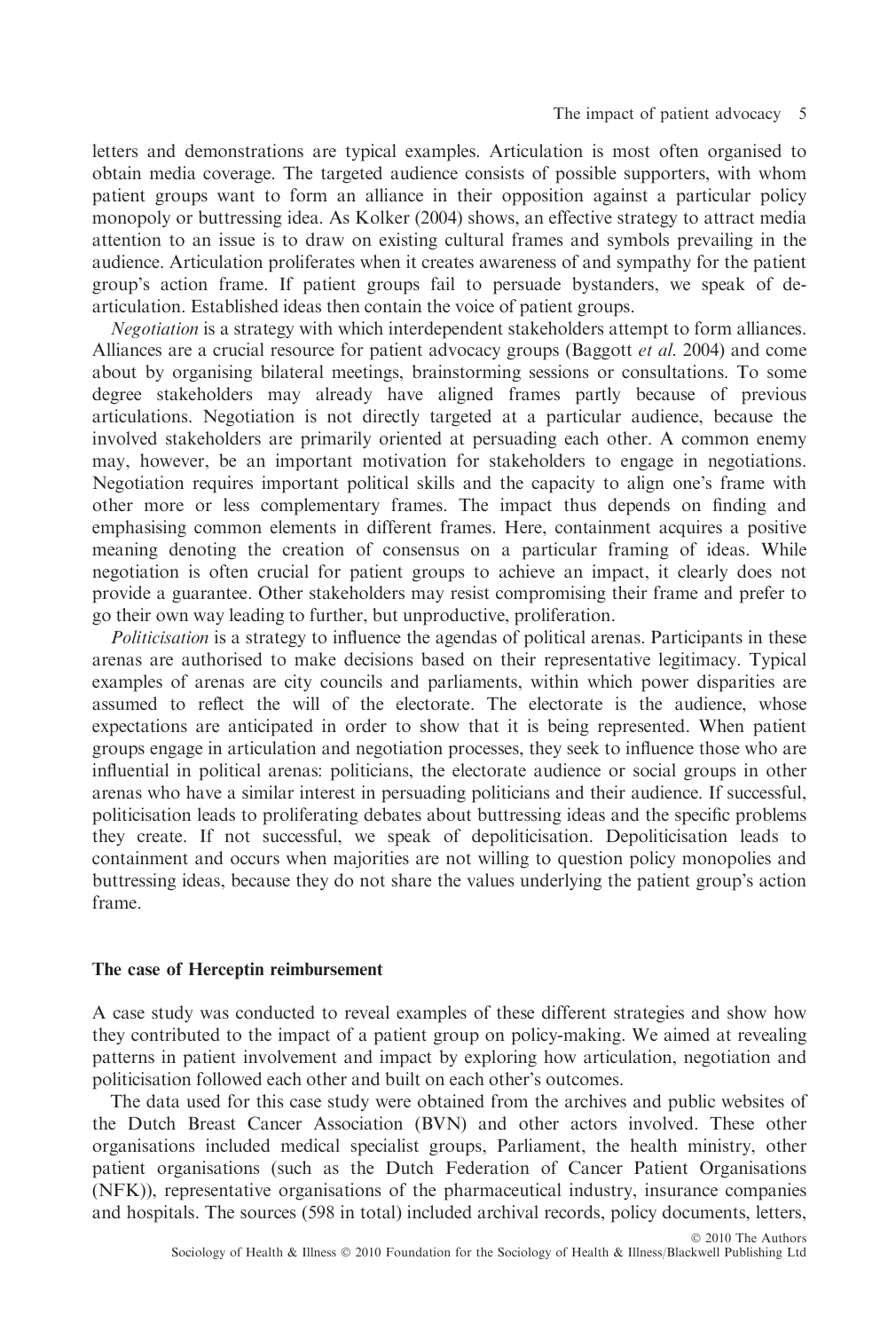letters and demonstrations are typical examples. Articulation is most often organised to obtain media coverage. The targeted audience consists of possible supporters, with whom patient groups want to form an alliance in their opposition against a particular policy monopoly or buttressing idea. As Kolker (2004) shows, an effective strategy to attract media attention to an issue is to draw on existing cultural frames and symbols prevailing in the audience. Articulation proliferates when it creates awareness of and sympathy for the patient group's action frame. If patient groups fail to persuade bystanders, we speak of dearticulation. Established ideas then contain the voice of patient groups.

Negotiation is a strategy with which interdependent stakeholders attempt to form alliances. Alliances are a crucial resource for patient advocacy groups (Baggott *et al.* 2004) and come about by organising bilateral meetings, brainstorming sessions or consultations. To some degree stakeholders may already have aligned frames partly because of previous articulations. Negotiation is not directly targeted at a particular audience, because the involved stakeholders are primarily oriented at persuading each other. A common enemy may, however, be an important motivation for stakeholders to engage in negotiations. Negotiation requires important political skills and the capacity to align one's frame with other more or less complementary frames. The impact thus depends on finding and emphasising common elements in different frames. Here, containment acquires a positive meaning denoting the creation of consensus on a particular framing of ideas. While negotiation is often crucial for patient groups to achieve an impact, it clearly does not provide a guarantee. Other stakeholders may resist compromising their frame and prefer to go their own way leading to further, but unproductive, proliferation.

Politicisation is a strategy to influence the agendas of political arenas. Participants in these arenas are authorised to make decisions based on their representative legitimacy. Typical examples of arenas are city councils and parliaments, within which power disparities are assumed to reflect the will of the electorate. The electorate is the audience, whose expectations are anticipated in order to show that it is being represented. When patient groups engage in articulation and negotiation processes, they seek to influence those who are influential in political arenas: politicians, the electorate audience or social groups in other arenas who have a similar interest in persuading politicians and their audience. If successful, politicisation leads to proliferating debates about buttressing ideas and the specific problems they create. If not successful, we speak of depoliticisation. Depoliticisation leads to containment and occurs when majorities are not willing to question policy monopolies and buttressing ideas, because they do not share the values underlying the patient group's action frame.

# The case of Herceptin reimbursement

A case study was conducted to reveal examples of these different strategies and show how they contributed to the impact of a patient group on policy-making. We aimed at revealing patterns in patient involvement and impact by exploring how articulation, negotiation and politicisation followed each other and built on each other's outcomes.

The data used for this case study were obtained from the archives and public websites of the Dutch Breast Cancer Association (BVN) and other actors involved. These other organisations included medical specialist groups, Parliament, the health ministry, other patient organisations (such as the Dutch Federation of Cancer Patient Organisations (NFK)), representative organisations of the pharmaceutical industry, insurance companies and hospitals. The sources (598 in total) included archival records, policy documents, letters,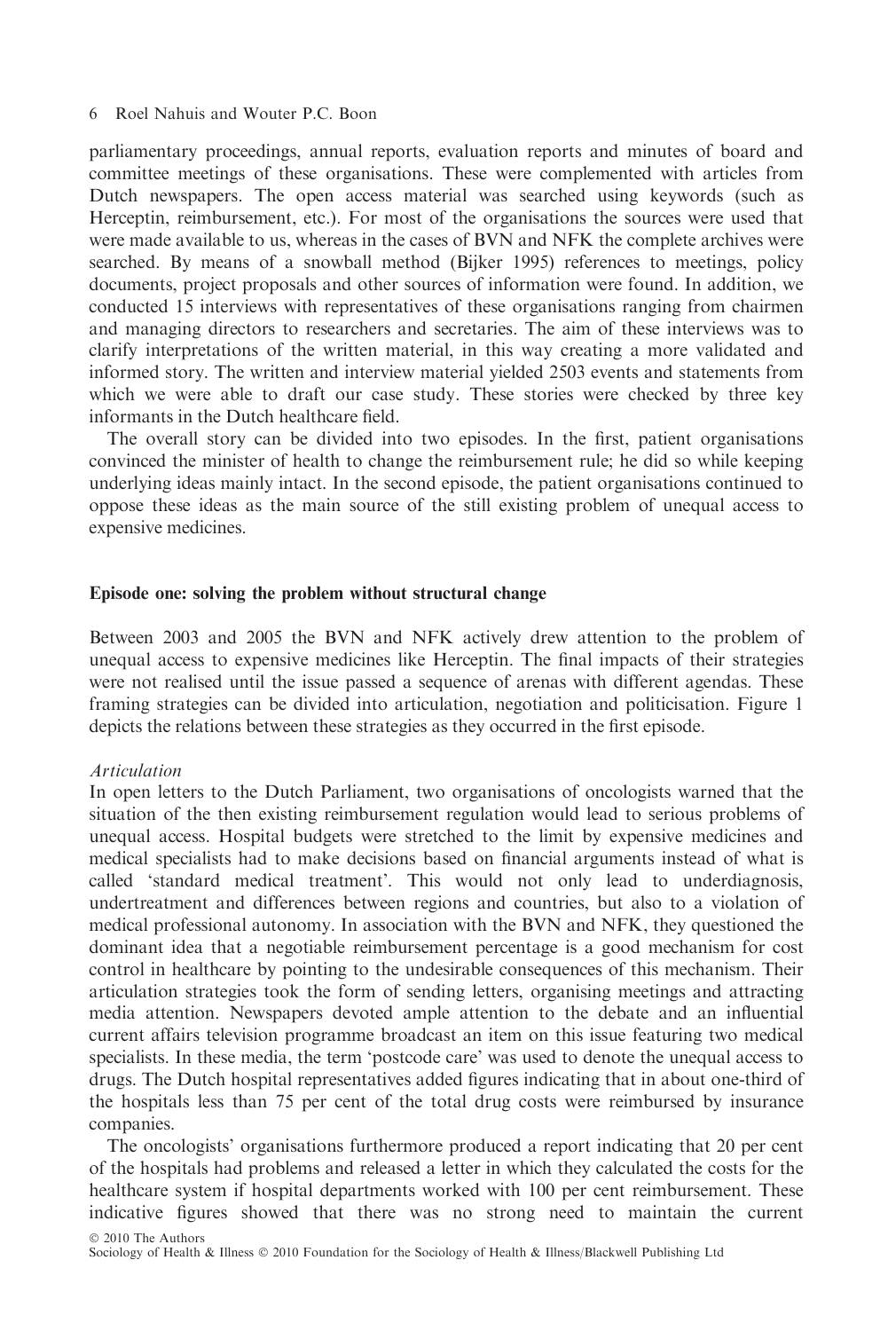parliamentary proceedings, annual reports, evaluation reports and minutes of board and committee meetings of these organisations. These were complemented with articles from Dutch newspapers. The open access material was searched using keywords (such as Herceptin, reimbursement, etc.). For most of the organisations the sources were used that were made available to us, whereas in the cases of BVN and NFK the complete archives were searched. By means of a snowball method (Bijker 1995) references to meetings, policy documents, project proposals and other sources of information were found. In addition, we conducted 15 interviews with representatives of these organisations ranging from chairmen and managing directors to researchers and secretaries. The aim of these interviews was to clarify interpretations of the written material, in this way creating a more validated and informed story. The written and interview material yielded 2503 events and statements from which we were able to draft our case study. These stories were checked by three key informants in the Dutch healthcare field.

The overall story can be divided into two episodes. In the first, patient organisations convinced the minister of health to change the reimbursement rule; he did so while keeping underlying ideas mainly intact. In the second episode, the patient organisations continued to oppose these ideas as the main source of the still existing problem of unequal access to expensive medicines.

# Episode one: solving the problem without structural change

Between 2003 and 2005 the BVN and NFK actively drew attention to the problem of unequal access to expensive medicines like Herceptin. The final impacts of their strategies were not realised until the issue passed a sequence of arenas with different agendas. These framing strategies can be divided into articulation, negotiation and politicisation. Figure 1 depicts the relations between these strategies as they occurred in the first episode.

# Articulation

In open letters to the Dutch Parliament, two organisations of oncologists warned that the situation of the then existing reimbursement regulation would lead to serious problems of unequal access. Hospital budgets were stretched to the limit by expensive medicines and medical specialists had to make decisions based on financial arguments instead of what is called 'standard medical treatment'. This would not only lead to underdiagnosis, undertreatment and differences between regions and countries, but also to a violation of medical professional autonomy. In association with the BVN and NFK, they questioned the dominant idea that a negotiable reimbursement percentage is a good mechanism for cost control in healthcare by pointing to the undesirable consequences of this mechanism. Their articulation strategies took the form of sending letters, organising meetings and attracting media attention. Newspapers devoted ample attention to the debate and an influential current affairs television programme broadcast an item on this issue featuring two medical specialists. In these media, the term 'postcode care' was used to denote the unequal access to drugs. The Dutch hospital representatives added figures indicating that in about one-third of the hospitals less than 75 per cent of the total drug costs were reimbursed by insurance companies.

The oncologists' organisations furthermore produced a report indicating that 20 per cent of the hospitals had problems and released a letter in which they calculated the costs for the healthcare system if hospital departments worked with 100 per cent reimbursement. These indicative figures showed that there was no strong need to maintain the current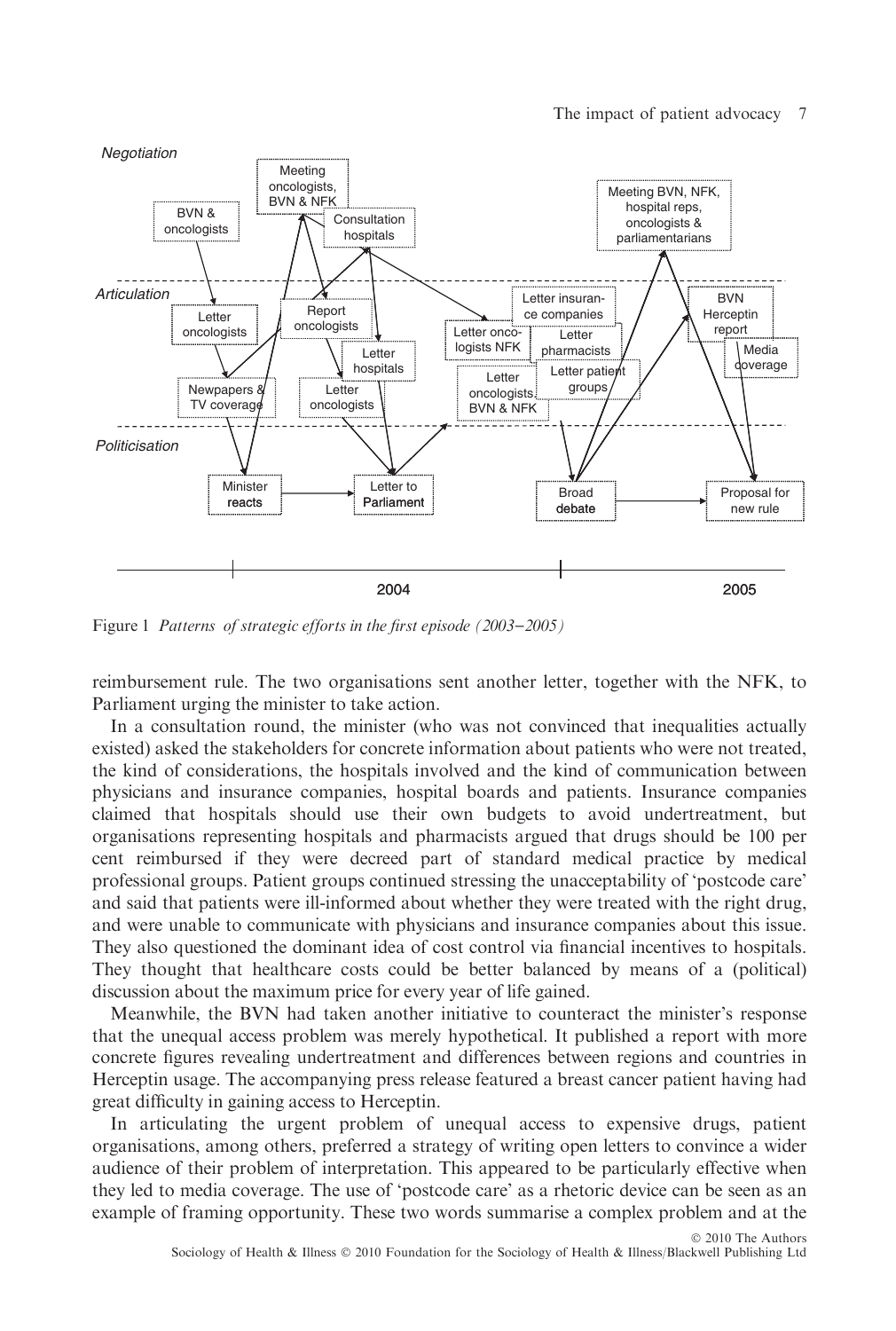

Figure 1 Patterns of strategic efforts in the first episode  $(2003-2005)$ 

reimbursement rule. The two organisations sent another letter, together with the NFK, to Parliament urging the minister to take action.

In a consultation round, the minister (who was not convinced that inequalities actually existed) asked the stakeholders for concrete information about patients who were not treated, the kind of considerations, the hospitals involved and the kind of communication between physicians and insurance companies, hospital boards and patients. Insurance companies claimed that hospitals should use their own budgets to avoid undertreatment, but organisations representing hospitals and pharmacists argued that drugs should be 100 per cent reimbursed if they were decreed part of standard medical practice by medical professional groups. Patient groups continued stressing the unacceptability of 'postcode care' and said that patients were ill-informed about whether they were treated with the right drug, and were unable to communicate with physicians and insurance companies about this issue. They also questioned the dominant idea of cost control via financial incentives to hospitals. They thought that healthcare costs could be better balanced by means of a (political) discussion about the maximum price for every year of life gained.

Meanwhile, the BVN had taken another initiative to counteract the minister's response that the unequal access problem was merely hypothetical. It published a report with more concrete figures revealing undertreatment and differences between regions and countries in Herceptin usage. The accompanying press release featured a breast cancer patient having had great difficulty in gaining access to Herceptin.

In articulating the urgent problem of unequal access to expensive drugs, patient organisations, among others, preferred a strategy of writing open letters to convince a wider audience of their problem of interpretation. This appeared to be particularly effective when they led to media coverage. The use of 'postcode care' as a rhetoric device can be seen as an example of framing opportunity. These two words summarise a complex problem and at the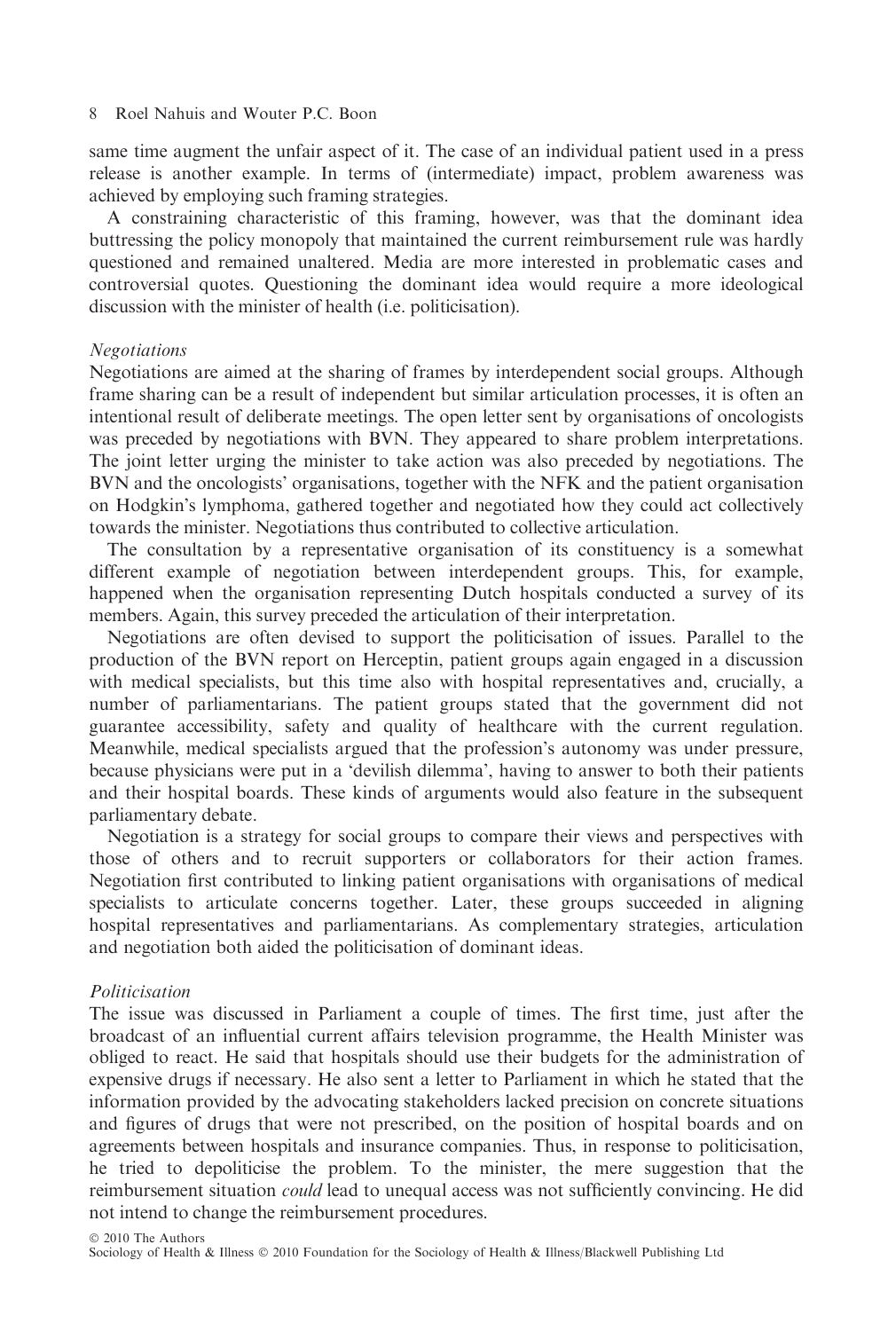same time augment the unfair aspect of it. The case of an individual patient used in a press release is another example. In terms of (intermediate) impact, problem awareness was achieved by employing such framing strategies.

A constraining characteristic of this framing, however, was that the dominant idea buttressing the policy monopoly that maintained the current reimbursement rule was hardly questioned and remained unaltered. Media are more interested in problematic cases and controversial quotes. Questioning the dominant idea would require a more ideological discussion with the minister of health (i.e. politicisation).

#### Negotiations

Negotiations are aimed at the sharing of frames by interdependent social groups. Although frame sharing can be a result of independent but similar articulation processes, it is often an intentional result of deliberate meetings. The open letter sent by organisations of oncologists was preceded by negotiations with BVN. They appeared to share problem interpretations. The joint letter urging the minister to take action was also preceded by negotiations. The BVN and the oncologists' organisations, together with the NFK and the patient organisation on Hodgkin's lymphoma, gathered together and negotiated how they could act collectively towards the minister. Negotiations thus contributed to collective articulation.

The consultation by a representative organisation of its constituency is a somewhat different example of negotiation between interdependent groups. This, for example, happened when the organisation representing Dutch hospitals conducted a survey of its members. Again, this survey preceded the articulation of their interpretation.

Negotiations are often devised to support the politicisation of issues. Parallel to the production of the BVN report on Herceptin, patient groups again engaged in a discussion with medical specialists, but this time also with hospital representatives and, crucially, a number of parliamentarians. The patient groups stated that the government did not guarantee accessibility, safety and quality of healthcare with the current regulation. Meanwhile, medical specialists argued that the profession's autonomy was under pressure, because physicians were put in a 'devilish dilemma', having to answer to both their patients and their hospital boards. These kinds of arguments would also feature in the subsequent parliamentary debate.

Negotiation is a strategy for social groups to compare their views and perspectives with those of others and to recruit supporters or collaborators for their action frames. Negotiation first contributed to linking patient organisations with organisations of medical specialists to articulate concerns together. Later, these groups succeeded in aligning hospital representatives and parliamentarians. As complementary strategies, articulation and negotiation both aided the politicisation of dominant ideas.

#### Politicisation

The issue was discussed in Parliament a couple of times. The first time, just after the broadcast of an influential current affairs television programme, the Health Minister was obliged to react. He said that hospitals should use their budgets for the administration of expensive drugs if necessary. He also sent a letter to Parliament in which he stated that the information provided by the advocating stakeholders lacked precision on concrete situations and figures of drugs that were not prescribed, on the position of hospital boards and on agreements between hospitals and insurance companies. Thus, in response to politicisation, he tried to depoliticise the problem. To the minister, the mere suggestion that the reimbursement situation *could* lead to unequal access was not sufficiently convincing. He did not intend to change the reimbursement procedures.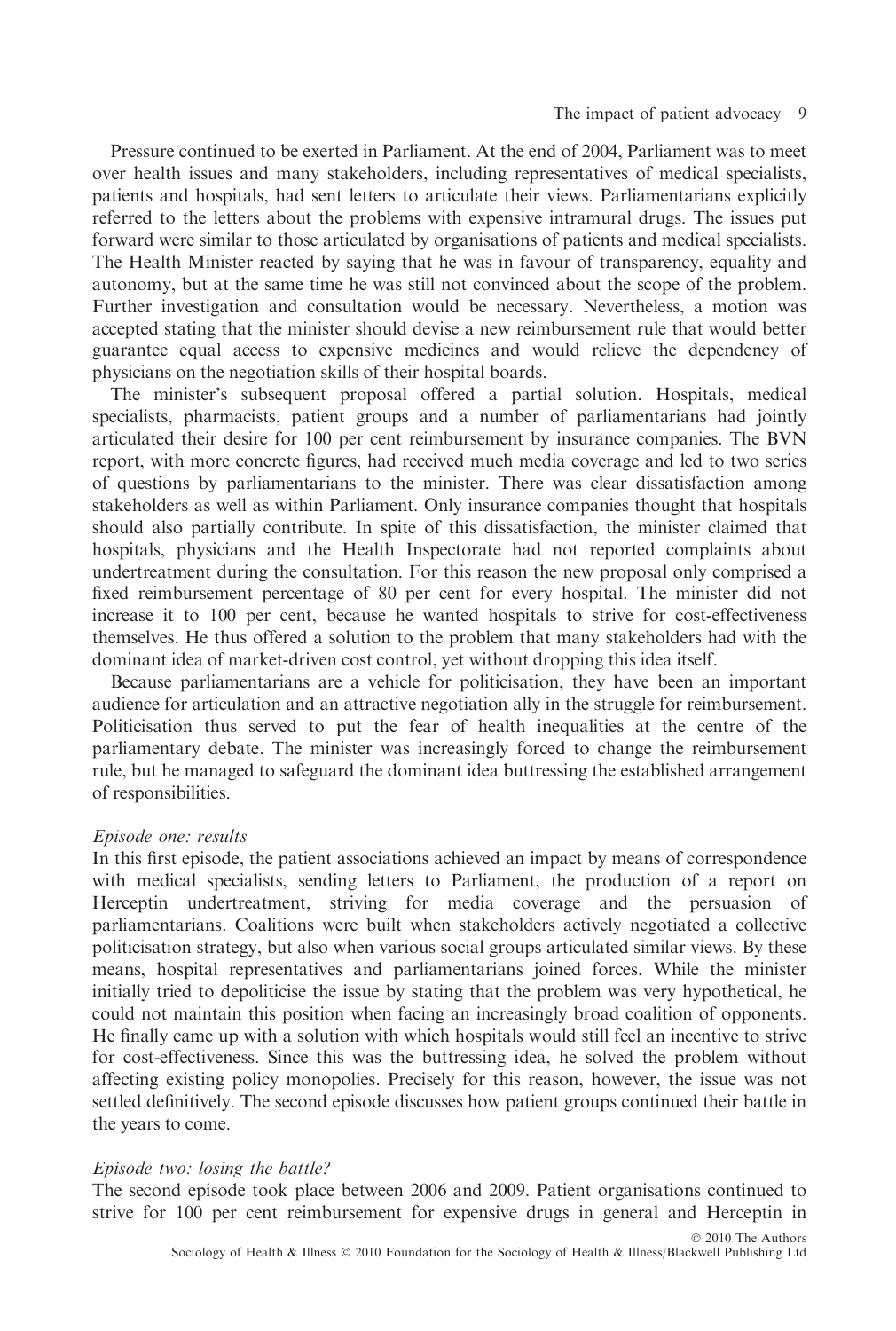Pressure continued to be exerted in Parliament. At the end of 2004, Parliament was to meet over health issues and many stakeholders, including representatives of medical specialists, patients and hospitals, had sent letters to articulate their views. Parliamentarians explicitly referred to the letters about the problems with expensive intramural drugs. The issues put forward were similar to those articulated by organisations of patients and medical specialists. The Health Minister reacted by saying that he was in favour of transparency, equality and autonomy, but at the same time he was still not convinced about the scope of the problem. Further investigation and consultation would be necessary. Nevertheless, a motion was accepted stating that the minister should devise a new reimbursement rule that would better guarantee equal access to expensive medicines and would relieve the dependency of physicians on the negotiation skills of their hospital boards.

The minister's subsequent proposal offered a partial solution. Hospitals, medical specialists, pharmacists, patient groups and a number of parliamentarians had jointly articulated their desire for 100 per cent reimbursement by insurance companies. The BVN report, with more concrete figures, had received much media coverage and led to two series of questions by parliamentarians to the minister. There was clear dissatisfaction among stakeholders as well as within Parliament. Only insurance companies thought that hospitals should also partially contribute. In spite of this dissatisfaction, the minister claimed that hospitals, physicians and the Health Inspectorate had not reported complaints about undertreatment during the consultation. For this reason the new proposal only comprised a fixed reimbursement percentage of 80 per cent for every hospital. The minister did not increase it to 100 per cent, because he wanted hospitals to strive for cost-effectiveness themselves. He thus offered a solution to the problem that many stakeholders had with the dominant idea of market-driven cost control, yet without dropping this idea itself.

Because parliamentarians are a vehicle for politicisation, they have been an important audience for articulation and an attractive negotiation ally in the struggle for reimbursement. Politicisation thus served to put the fear of health inequalities at the centre of the parliamentary debate. The minister was increasingly forced to change the reimbursement rule, but he managed to safeguard the dominant idea buttressing the established arrangement of responsibilities.

#### Episode one: results

In this first episode, the patient associations achieved an impact by means of correspondence with medical specialists, sending letters to Parliament, the production of a report on Herceptin undertreatment, striving for media coverage and the persuasion of parliamentarians. Coalitions were built when stakeholders actively negotiated a collective politicisation strategy, but also when various social groups articulated similar views. By these means, hospital representatives and parliamentarians joined forces. While the minister initially tried to depoliticise the issue by stating that the problem was very hypothetical, he could not maintain this position when facing an increasingly broad coalition of opponents. He finally came up with a solution with which hospitals would still feel an incentive to strive for cost-effectiveness. Since this was the buttressing idea, he solved the problem without affecting existing policy monopolies. Precisely for this reason, however, the issue was not settled definitively. The second episode discusses how patient groups continued their battle in the years to come.

# Episode two: losing the battle?

The second episode took place between 2006 and 2009. Patient organisations continued to strive for 100 per cent reimbursement for expensive drugs in general and Herceptin in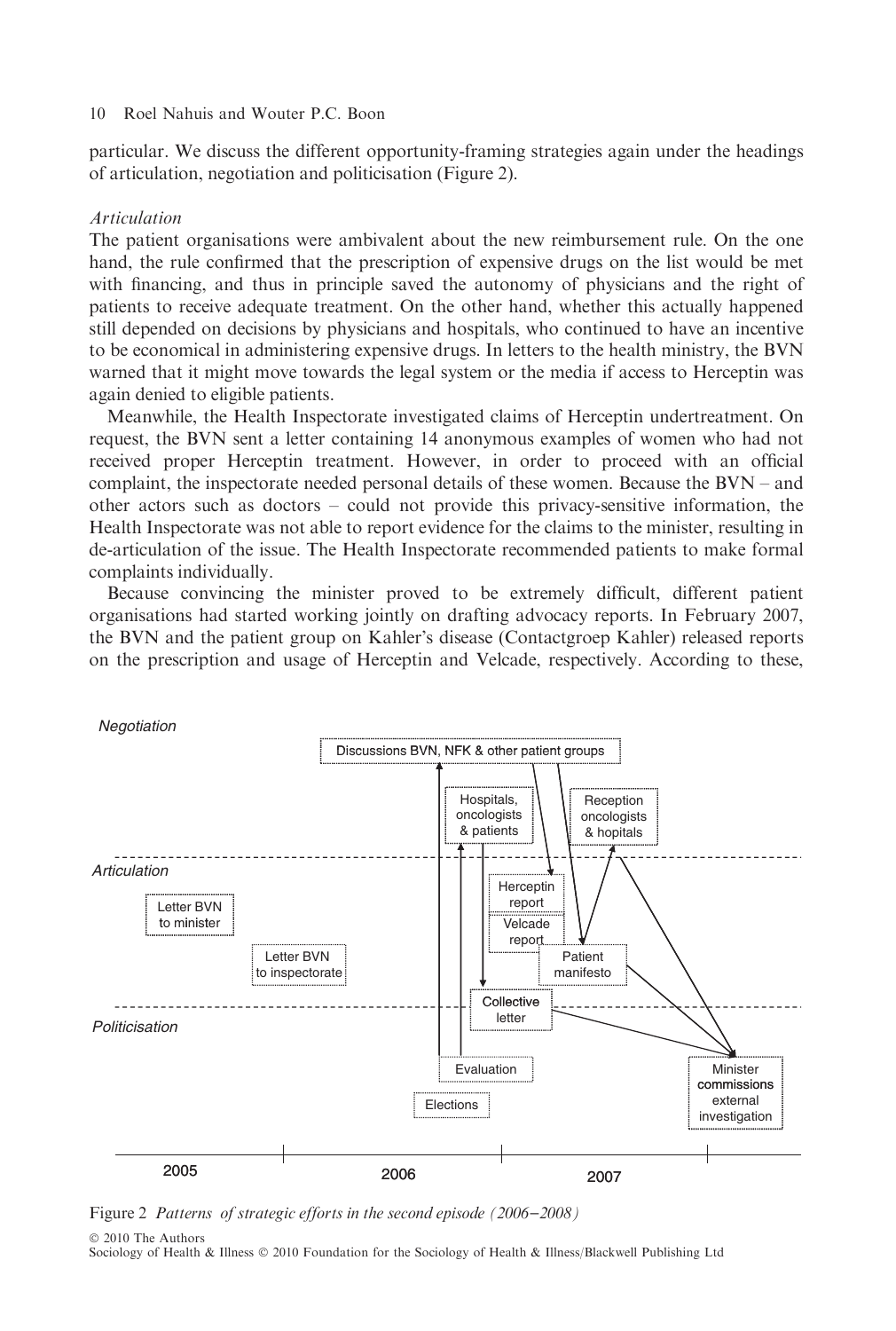particular. We discuss the different opportunity-framing strategies again under the headings of articulation, negotiation and politicisation (Figure 2).

# Articulation

The patient organisations were ambivalent about the new reimbursement rule. On the one hand, the rule confirmed that the prescription of expensive drugs on the list would be met with financing, and thus in principle saved the autonomy of physicians and the right of patients to receive adequate treatment. On the other hand, whether this actually happened still depended on decisions by physicians and hospitals, who continued to have an incentive to be economical in administering expensive drugs. In letters to the health ministry, the BVN warned that it might move towards the legal system or the media if access to Herceptin was again denied to eligible patients.

Meanwhile, the Health Inspectorate investigated claims of Herceptin undertreatment. On request, the BVN sent a letter containing 14 anonymous examples of women who had not received proper Herceptin treatment. However, in order to proceed with an official complaint, the inspectorate needed personal details of these women. Because the BVN – and other actors such as doctors – could not provide this privacy-sensitive information, the Health Inspectorate was not able to report evidence for the claims to the minister, resulting in de-articulation of the issue. The Health Inspectorate recommended patients to make formal complaints individually.

Because convincing the minister proved to be extremely difficult, different patient organisations had started working jointly on drafting advocacy reports. In February 2007, the BVN and the patient group on Kahler's disease (Contactgroep Kahler) released reports on the prescription and usage of Herceptin and Velcade, respectively. According to these,



Figure 2 Patterns of strategic efforts in the second episode  $(2006-2008)$ 

© 2010 The Authors

Sociology of Health & Illness © 2010 Foundation for the Sociology of Health & Illness/Blackwell Publishing Ltd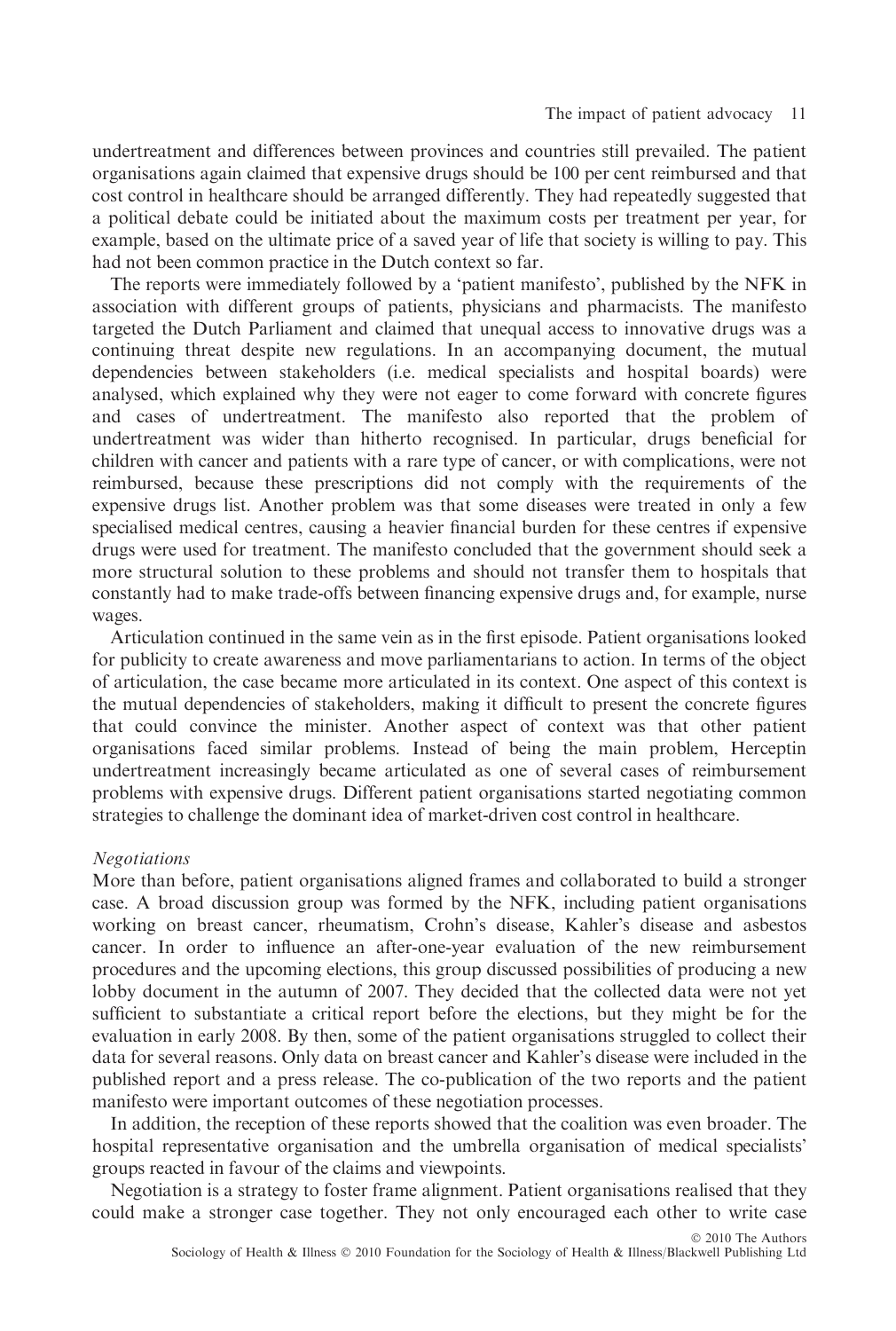undertreatment and differences between provinces and countries still prevailed. The patient organisations again claimed that expensive drugs should be 100 per cent reimbursed and that cost control in healthcare should be arranged differently. They had repeatedly suggested that a political debate could be initiated about the maximum costs per treatment per year, for example, based on the ultimate price of a saved year of life that society is willing to pay. This had not been common practice in the Dutch context so far.

The reports were immediately followed by a 'patient manifesto', published by the NFK in association with different groups of patients, physicians and pharmacists. The manifesto targeted the Dutch Parliament and claimed that unequal access to innovative drugs was a continuing threat despite new regulations. In an accompanying document, the mutual dependencies between stakeholders (i.e. medical specialists and hospital boards) were analysed, which explained why they were not eager to come forward with concrete figures and cases of undertreatment. The manifesto also reported that the problem of undertreatment was wider than hitherto recognised. In particular, drugs beneficial for children with cancer and patients with a rare type of cancer, or with complications, were not reimbursed, because these prescriptions did not comply with the requirements of the expensive drugs list. Another problem was that some diseases were treated in only a few specialised medical centres, causing a heavier financial burden for these centres if expensive drugs were used for treatment. The manifesto concluded that the government should seek a more structural solution to these problems and should not transfer them to hospitals that constantly had to make trade-offs between financing expensive drugs and, for example, nurse wages.

Articulation continued in the same vein as in the first episode. Patient organisations looked for publicity to create awareness and move parliamentarians to action. In terms of the object of articulation, the case became more articulated in its context. One aspect of this context is the mutual dependencies of stakeholders, making it difficult to present the concrete figures that could convince the minister. Another aspect of context was that other patient organisations faced similar problems. Instead of being the main problem, Herceptin undertreatment increasingly became articulated as one of several cases of reimbursement problems with expensive drugs. Different patient organisations started negotiating common strategies to challenge the dominant idea of market-driven cost control in healthcare.

# Negotiations

More than before, patient organisations aligned frames and collaborated to build a stronger case. A broad discussion group was formed by the NFK, including patient organisations working on breast cancer, rheumatism, Crohn's disease, Kahler's disease and asbestos cancer. In order to influence an after-one-year evaluation of the new reimbursement procedures and the upcoming elections, this group discussed possibilities of producing a new lobby document in the autumn of 2007. They decided that the collected data were not yet sufficient to substantiate a critical report before the elections, but they might be for the evaluation in early 2008. By then, some of the patient organisations struggled to collect their data for several reasons. Only data on breast cancer and Kahler's disease were included in the published report and a press release. The co-publication of the two reports and the patient manifesto were important outcomes of these negotiation processes.

In addition, the reception of these reports showed that the coalition was even broader. The hospital representative organisation and the umbrella organisation of medical specialists' groups reacted in favour of the claims and viewpoints.

Negotiation is a strategy to foster frame alignment. Patient organisations realised that they could make a stronger case together. They not only encouraged each other to write case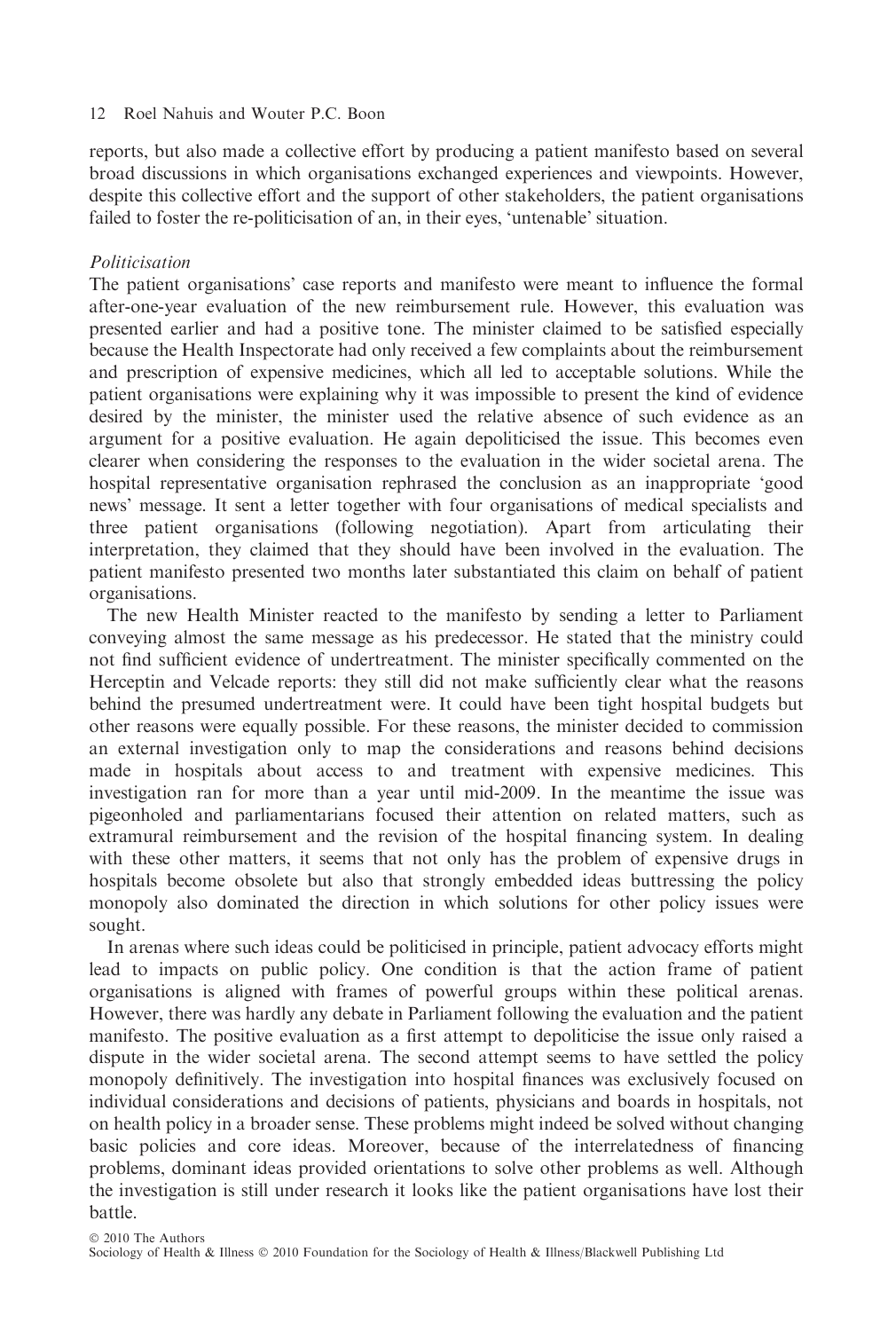reports, but also made a collective effort by producing a patient manifesto based on several broad discussions in which organisations exchanged experiences and viewpoints. However, despite this collective effort and the support of other stakeholders, the patient organisations failed to foster the re-politicisation of an, in their eyes, 'untenable' situation.

# Politicisation

The patient organisations' case reports and manifesto were meant to influence the formal after-one-year evaluation of the new reimbursement rule. However, this evaluation was presented earlier and had a positive tone. The minister claimed to be satisfied especially because the Health Inspectorate had only received a few complaints about the reimbursement and prescription of expensive medicines, which all led to acceptable solutions. While the patient organisations were explaining why it was impossible to present the kind of evidence desired by the minister, the minister used the relative absence of such evidence as an argument for a positive evaluation. He again depoliticised the issue. This becomes even clearer when considering the responses to the evaluation in the wider societal arena. The hospital representative organisation rephrased the conclusion as an inappropriate 'good news' message. It sent a letter together with four organisations of medical specialists and three patient organisations (following negotiation). Apart from articulating their interpretation, they claimed that they should have been involved in the evaluation. The patient manifesto presented two months later substantiated this claim on behalf of patient organisations.

The new Health Minister reacted to the manifesto by sending a letter to Parliament conveying almost the same message as his predecessor. He stated that the ministry could not find sufficient evidence of undertreatment. The minister specifically commented on the Herceptin and Velcade reports: they still did not make sufficiently clear what the reasons behind the presumed undertreatment were. It could have been tight hospital budgets but other reasons were equally possible. For these reasons, the minister decided to commission an external investigation only to map the considerations and reasons behind decisions made in hospitals about access to and treatment with expensive medicines. This investigation ran for more than a year until mid-2009. In the meantime the issue was pigeonholed and parliamentarians focused their attention on related matters, such as extramural reimbursement and the revision of the hospital financing system. In dealing with these other matters, it seems that not only has the problem of expensive drugs in hospitals become obsolete but also that strongly embedded ideas buttressing the policy monopoly also dominated the direction in which solutions for other policy issues were sought.

In arenas where such ideas could be politicised in principle, patient advocacy efforts might lead to impacts on public policy. One condition is that the action frame of patient organisations is aligned with frames of powerful groups within these political arenas. However, there was hardly any debate in Parliament following the evaluation and the patient manifesto. The positive evaluation as a first attempt to depoliticise the issue only raised a dispute in the wider societal arena. The second attempt seems to have settled the policy monopoly definitively. The investigation into hospital finances was exclusively focused on individual considerations and decisions of patients, physicians and boards in hospitals, not on health policy in a broader sense. These problems might indeed be solved without changing basic policies and core ideas. Moreover, because of the interrelatedness of financing problems, dominant ideas provided orientations to solve other problems as well. Although the investigation is still under research it looks like the patient organisations have lost their battle.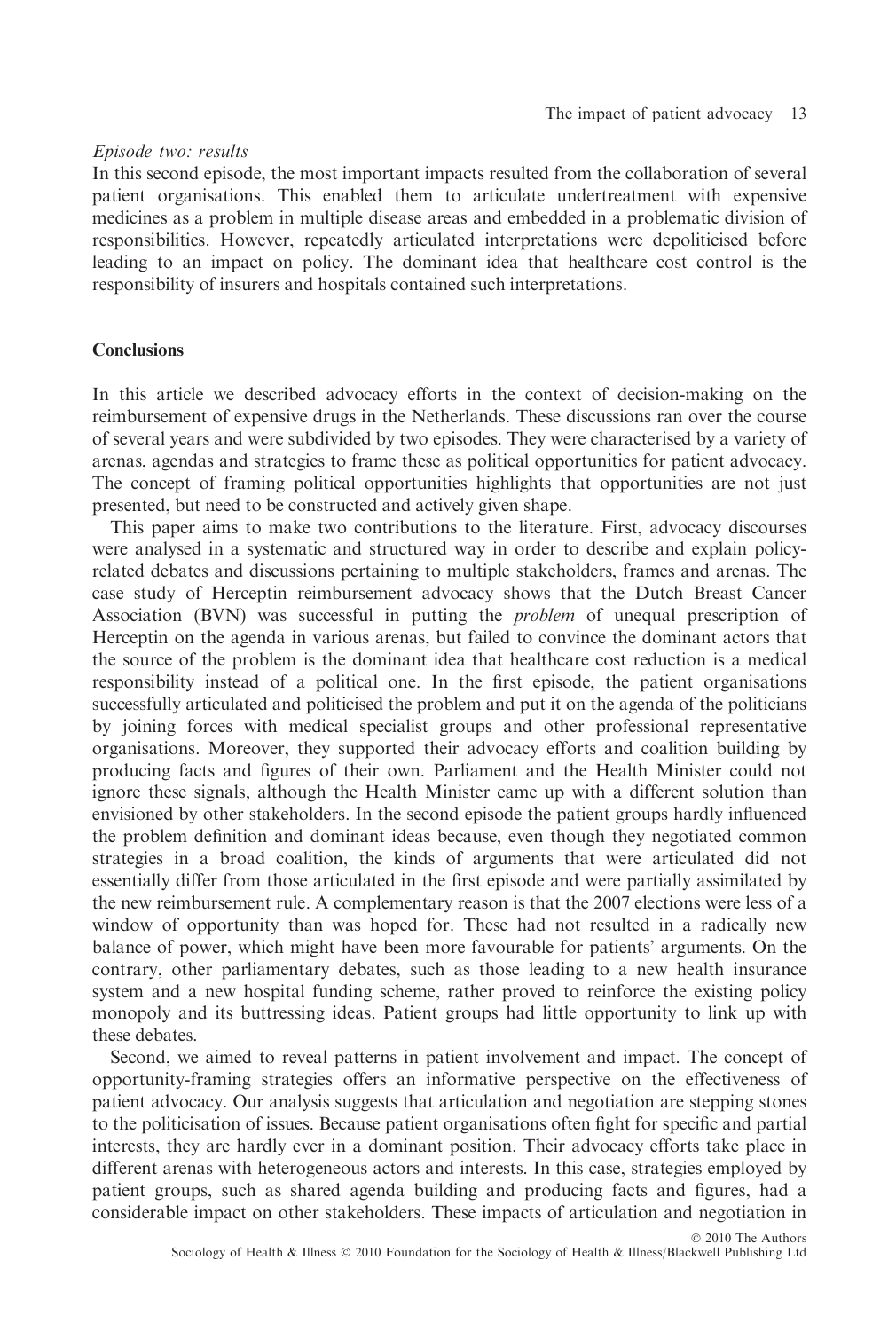# Episode two: results

In this second episode, the most important impacts resulted from the collaboration of several patient organisations. This enabled them to articulate undertreatment with expensive medicines as a problem in multiple disease areas and embedded in a problematic division of responsibilities. However, repeatedly articulated interpretations were depoliticised before leading to an impact on policy. The dominant idea that healthcare cost control is the responsibility of insurers and hospitals contained such interpretations.

# **Conclusions**

In this article we described advocacy efforts in the context of decision-making on the reimbursement of expensive drugs in the Netherlands. These discussions ran over the course of several years and were subdivided by two episodes. They were characterised by a variety of arenas, agendas and strategies to frame these as political opportunities for patient advocacy. The concept of framing political opportunities highlights that opportunities are not just presented, but need to be constructed and actively given shape.

This paper aims to make two contributions to the literature. First, advocacy discourses were analysed in a systematic and structured way in order to describe and explain policyrelated debates and discussions pertaining to multiple stakeholders, frames and arenas. The case study of Herceptin reimbursement advocacy shows that the Dutch Breast Cancer Association (BVN) was successful in putting the problem of unequal prescription of Herceptin on the agenda in various arenas, but failed to convince the dominant actors that the source of the problem is the dominant idea that healthcare cost reduction is a medical responsibility instead of a political one. In the first episode, the patient organisations successfully articulated and politicised the problem and put it on the agenda of the politicians by joining forces with medical specialist groups and other professional representative organisations. Moreover, they supported their advocacy efforts and coalition building by producing facts and figures of their own. Parliament and the Health Minister could not ignore these signals, although the Health Minister came up with a different solution than envisioned by other stakeholders. In the second episode the patient groups hardly influenced the problem definition and dominant ideas because, even though they negotiated common strategies in a broad coalition, the kinds of arguments that were articulated did not essentially differ from those articulated in the first episode and were partially assimilated by the new reimbursement rule. A complementary reason is that the 2007 elections were less of a window of opportunity than was hoped for. These had not resulted in a radically new balance of power, which might have been more favourable for patients' arguments. On the contrary, other parliamentary debates, such as those leading to a new health insurance system and a new hospital funding scheme, rather proved to reinforce the existing policy monopoly and its buttressing ideas. Patient groups had little opportunity to link up with these debates.

Second, we aimed to reveal patterns in patient involvement and impact. The concept of opportunity-framing strategies offers an informative perspective on the effectiveness of patient advocacy. Our analysis suggests that articulation and negotiation are stepping stones to the politicisation of issues. Because patient organisations often fight for specific and partial interests, they are hardly ever in a dominant position. Their advocacy efforts take place in different arenas with heterogeneous actors and interests. In this case, strategies employed by patient groups, such as shared agenda building and producing facts and figures, had a considerable impact on other stakeholders. These impacts of articulation and negotiation in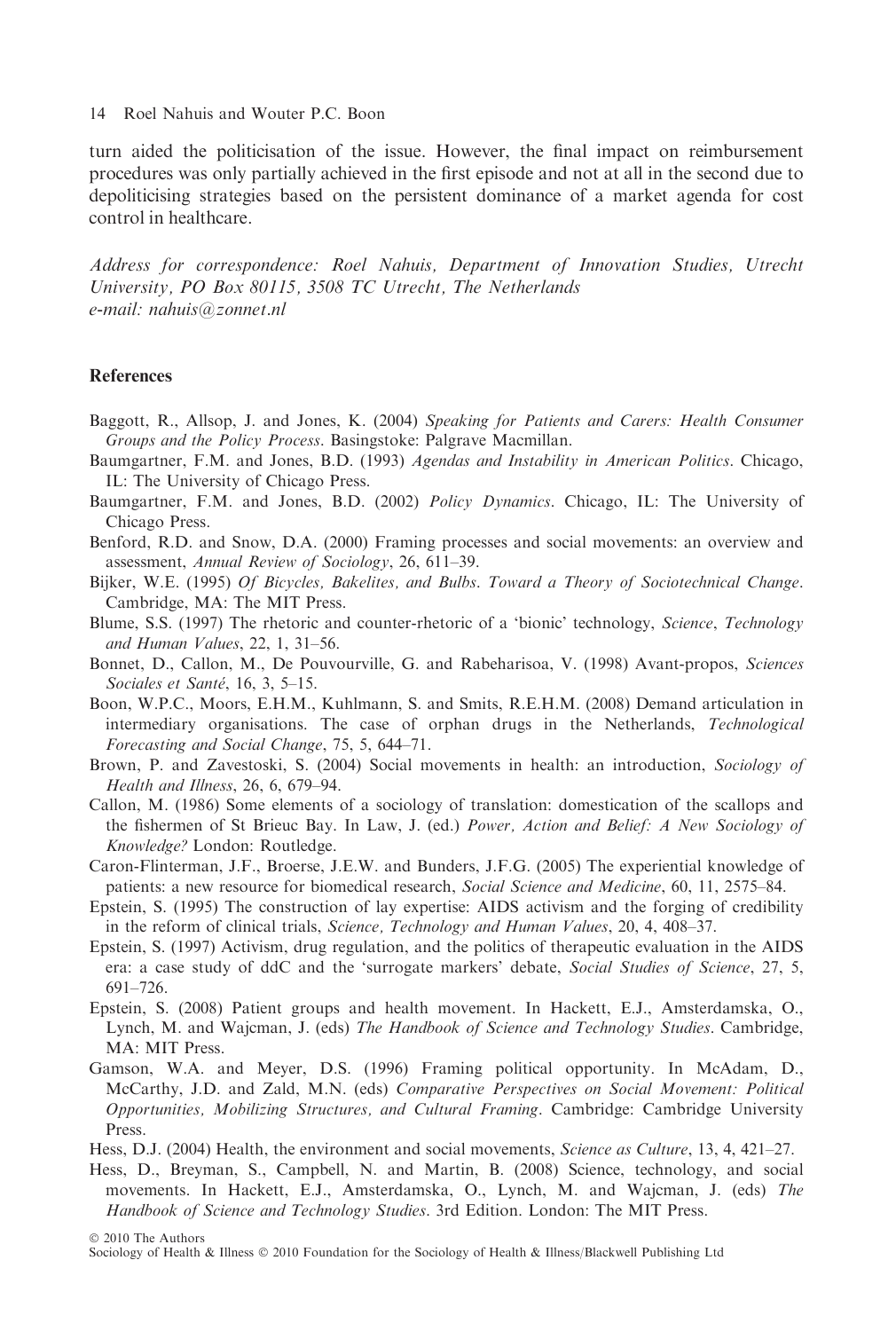turn aided the politicisation of the issue. However, the final impact on reimbursement procedures was only partially achieved in the first episode and not at all in the second due to depoliticising strategies based on the persistent dominance of a market agenda for cost control in healthcare.

Address for correspondence: Roel Nahuis, Department of Innovation Studies, Utrecht University, PO Box 80115, 3508 TC Utrecht, The Netherlands e-mail: nahuis@zonnet.nl

# **References**

- Baggott, R., Allsop, J. and Jones, K. (2004) Speaking for Patients and Carers: Health Consumer Groups and the Policy Process. Basingstoke: Palgrave Macmillan.
- Baumgartner, F.M. and Jones, B.D. (1993) Agendas and Instability in American Politics. Chicago, IL: The University of Chicago Press.
- Baumgartner, F.M. and Jones, B.D. (2002) Policy Dynamics. Chicago, IL: The University of Chicago Press.
- Benford, R.D. and Snow, D.A. (2000) Framing processes and social movements: an overview and assessment, Annual Review of Sociology, 26, 611–39.
- Bijker, W.E. (1995) Of Bicycles, Bakelites, and Bulbs. Toward a Theory of Sociotechnical Change. Cambridge, MA: The MIT Press.
- Blume, S.S. (1997) The rhetoric and counter-rhetoric of a 'bionic' technology, Science, Technology and Human Values, 22, 1, 31–56.
- Bonnet, D., Callon, M., De Pouvourville, G. and Rabeharisoa, V. (1998) Avant-propos, Sciences Sociales et Santé, 16, 3, 5–15.
- Boon, W.P.C., Moors, E.H.M., Kuhlmann, S. and Smits, R.E.H.M. (2008) Demand articulation in intermediary organisations. The case of orphan drugs in the Netherlands, Technological Forecasting and Social Change, 75, 5, 644–71.
- Brown, P. and Zavestoski, S. (2004) Social movements in health: an introduction, Sociology of Health and Illness, 26, 6, 679–94.
- Callon, M. (1986) Some elements of a sociology of translation: domestication of the scallops and the fishermen of St Brieuc Bay. In Law, J. (ed.) Power, Action and Belief: A New Sociology of Knowledge? London: Routledge.
- Caron-Flinterman, J.F., Broerse, J.E.W. and Bunders, J.F.G. (2005) The experiential knowledge of patients: a new resource for biomedical research, Social Science and Medicine, 60, 11, 2575–84.
- Epstein, S. (1995) The construction of lay expertise: AIDS activism and the forging of credibility in the reform of clinical trials, Science, Technology and Human Values, 20, 4, 408–37.
- Epstein, S. (1997) Activism, drug regulation, and the politics of therapeutic evaluation in the AIDS era: a case study of ddC and the 'surrogate markers' debate, Social Studies of Science, 27, 5, 691–726.
- Epstein, S. (2008) Patient groups and health movement. In Hackett, E.J., Amsterdamska, O., Lynch, M. and Wajcman, J. (eds) The Handbook of Science and Technology Studies. Cambridge, MA: MIT Press.
- Gamson, W.A. and Meyer, D.S. (1996) Framing political opportunity. In McAdam, D., McCarthy, J.D. and Zald, M.N. (eds) Comparative Perspectives on Social Movement: Political Opportunities, Mobilizing Structures, and Cultural Framing. Cambridge: Cambridge University Press.
- Hess, D.J. (2004) Health, the environment and social movements, Science as Culture, 13, 4, 421–27.
- Hess, D., Breyman, S., Campbell, N. and Martin, B. (2008) Science, technology, and social movements. In Hackett, E.J., Amsterdamska, O., Lynch, M. and Wajcman, J. (eds) The Handbook of Science and Technology Studies. 3rd Edition. London: The MIT Press.

© 2010 The Authors

Sociology of Health & Illness © 2010 Foundation for the Sociology of Health & Illness/Blackwell Publishing Ltd